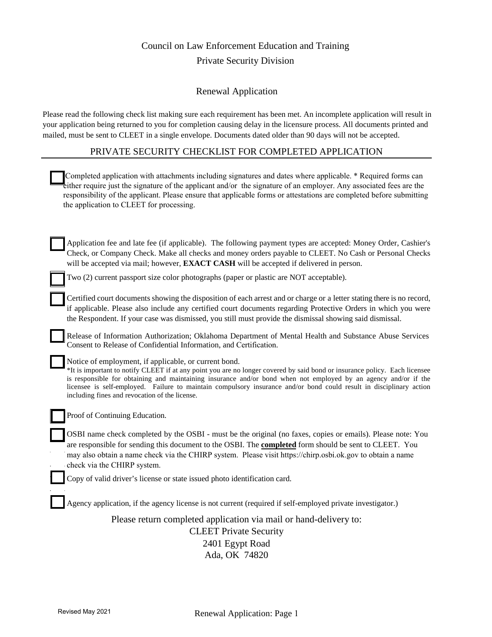## Council on Law Enforcement Education and Training Private Security Division

### Renewal Application

Please read the following check list making sure each requirement has been met. An incomplete application will result in your application being returned to you for completion causing delay in the licensure process. All documents printed and mailed, must be sent to CLEET in a single envelope. Documents dated older than 90 days will not be accepted.

### PRIVATE SECURITY CHECKLIST FOR COMPLETED APPLICATION

| Completed application with attachments including signatures and dates where applicable. * Required forms can<br>either require just the signature of the applicant and/or the signature of an employer. Any associated fees are the<br>responsibility of the applicant. Please ensure that applicable forms or attestations are completed before submitting<br>the application to CLEET for processing.                                                                         |
|---------------------------------------------------------------------------------------------------------------------------------------------------------------------------------------------------------------------------------------------------------------------------------------------------------------------------------------------------------------------------------------------------------------------------------------------------------------------------------|
| Application fee and late fee (if applicable). The following payment types are accepted: Money Order, Cashier's<br>Check, or Company Check. Make all checks and money orders payable to CLEET. No Cash or Personal Checks<br>will be accepted via mail; however, <b>EXACT CASH</b> will be accepted if delivered in person.                                                                                                                                                      |
| Two (2) current passport size color photographs (paper or plastic are NOT acceptable).                                                                                                                                                                                                                                                                                                                                                                                          |
| Certified court documents showing the disposition of each arrest and or charge or a letter stating there is no record,<br>if applicable. Please also include any certified court documents regarding Protective Orders in which you were<br>the Respondent. If your case was dismissed, you still must provide the dismissal showing said dismissal.                                                                                                                            |
| Release of Information Authorization; Oklahoma Department of Mental Health and Substance Abuse Services<br>Consent to Release of Confidential Information, and Certification.                                                                                                                                                                                                                                                                                                   |
| Notice of employment, if applicable, or current bond.<br>*It is important to notify CLEET if at any point you are no longer covered by said bond or insurance policy. Each licensee<br>is responsible for obtaining and maintaining insurance and/or bond when not employed by an agency and/or if the<br>licensee is self-employed. Failure to maintain compulsory insurance and/or bond could result in disciplinary action<br>including fines and revocation of the license. |
| Proof of Continuing Education.                                                                                                                                                                                                                                                                                                                                                                                                                                                  |
| OSBI name check completed by the OSBI - must be the original (no faxes, copies or emails). Please note: You<br>are responsible for sending this document to the OSBI. The <b>completed</b> form should be sent to CLEET. You<br>may also obtain a name check via the CHIRP system. Please visit https://chirp.osbi.ok.gov to obtain a name<br>check via the CHIRP system.                                                                                                       |
| Copy of valid driver's license or state issued photo identification card.                                                                                                                                                                                                                                                                                                                                                                                                       |
| Agency application, if the agency license is not current (required if self-employed private investigator.)                                                                                                                                                                                                                                                                                                                                                                      |
| Please return completed application via mail or hand-delivery to:                                                                                                                                                                                                                                                                                                                                                                                                               |
| <b>CLEET Private Security</b>                                                                                                                                                                                                                                                                                                                                                                                                                                                   |
| 2401 Egypt Road                                                                                                                                                                                                                                                                                                                                                                                                                                                                 |
| Ada, OK 74820                                                                                                                                                                                                                                                                                                                                                                                                                                                                   |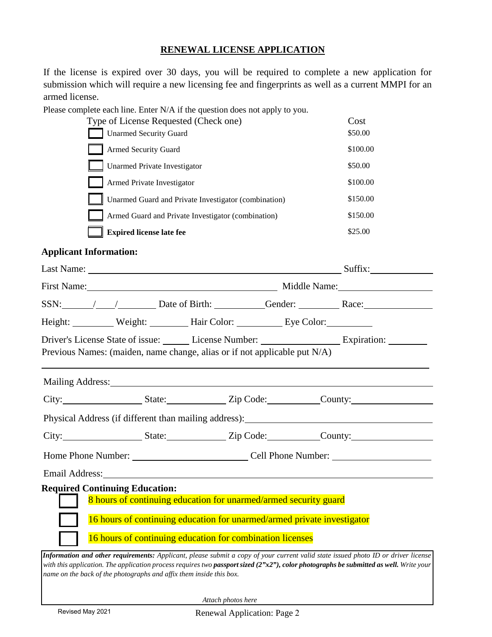### **RENEWAL LICENSE APPLICATION**

If the license is expired over 30 days, you will be required to complete a new application for submission which will require a new licensing fee and fingerprints as well as a current MMPI for an armed license.

Please complete each line. Enter N/A if the question does not apply to you.

| Type of License Requested (Check one)                | Cost     |
|------------------------------------------------------|----------|
| <b>Unarmed Security Guard</b>                        | \$50.00  |
| <b>Armed Security Guard</b>                          | \$100.00 |
| <b>Unarmed Private Investigator</b>                  | \$50.00  |
| Armed Private Investigator                           | \$100.00 |
| Unarmed Guard and Private Investigator (combination) | \$150.00 |
| Armed Guard and Private Investigator (combination)   | \$150.00 |
| <b>Expired license late fee</b>                      | \$25.00  |

### **Applicant Information:**

|                                                                                                                                                                                                                                |                                                                                                                                                                                                          | Last Name: Suffix: Suffix:                                                                                                                                                                                                                                                     |
|--------------------------------------------------------------------------------------------------------------------------------------------------------------------------------------------------------------------------------|----------------------------------------------------------------------------------------------------------------------------------------------------------------------------------------------------------|--------------------------------------------------------------------------------------------------------------------------------------------------------------------------------------------------------------------------------------------------------------------------------|
|                                                                                                                                                                                                                                |                                                                                                                                                                                                          | First Name: Middle Name: Middle Name:                                                                                                                                                                                                                                          |
|                                                                                                                                                                                                                                |                                                                                                                                                                                                          | SSN: / / Date of Birth: Gender: Race: Race:                                                                                                                                                                                                                                    |
| Height: Weight: Weight: Hair Color: Eye Color:                                                                                                                                                                                 |                                                                                                                                                                                                          |                                                                                                                                                                                                                                                                                |
| Previous Names: (maiden, name change, alias or if not applicable put N/A)                                                                                                                                                      |                                                                                                                                                                                                          |                                                                                                                                                                                                                                                                                |
| Mailing Address: 1988 and 2008 and 2008 and 2008 and 2008 and 2008 and 2008 and 2008 and 2008 and 2008 and 200                                                                                                                 |                                                                                                                                                                                                          |                                                                                                                                                                                                                                                                                |
|                                                                                                                                                                                                                                |                                                                                                                                                                                                          | City: State: State: Zip Code: County:                                                                                                                                                                                                                                          |
|                                                                                                                                                                                                                                |                                                                                                                                                                                                          | Physical Address (if different than mailing address): ___________________________                                                                                                                                                                                              |
|                                                                                                                                                                                                                                |                                                                                                                                                                                                          | City: State: State: Zip Code: County:                                                                                                                                                                                                                                          |
|                                                                                                                                                                                                                                |                                                                                                                                                                                                          |                                                                                                                                                                                                                                                                                |
| Email Address: Lawrence and Contact the Contract of the Contract of the Contract of the Contract of the Contract of the Contract of the Contract of the Contract of the Contract of the Contract of the Contract of the Contra |                                                                                                                                                                                                          |                                                                                                                                                                                                                                                                                |
| <b>Required Continuing Education:</b>                                                                                                                                                                                          | 8 hours of continuing education for unarmed/armed security guard<br>16 hours of continuing education for unarmed/armed private investigator<br>16 hours of continuing education for combination licenses |                                                                                                                                                                                                                                                                                |
| name on the back of the photographs and affix them inside this box.                                                                                                                                                            |                                                                                                                                                                                                          | Information and other requirements: Applicant, please submit a copy of your current valid state issued photo ID or driver license<br>with this application. The application process requires two passport sized $(2"x2")$ , color photographs be submitted as well. Write your |

 *Attach photos here*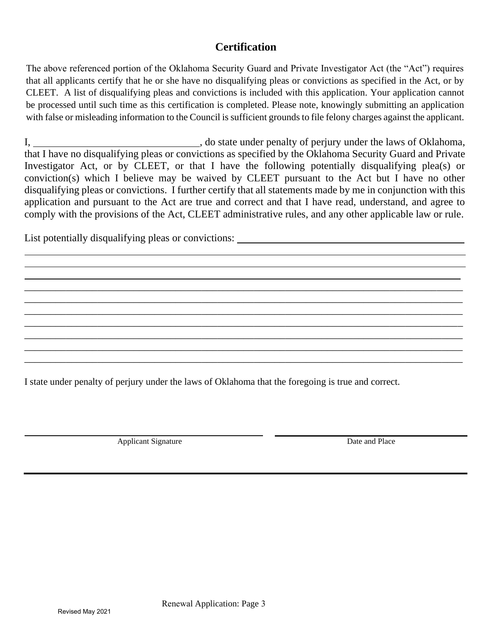### **Certification**

The above referenced portion of the Oklahoma Security Guard and Private Investigator Act (the "Act") requires that all applicants certify that he or she have no disqualifying pleas or convictions as specified in the Act, or by CLEET. A list of disqualifying pleas and convictions is included with this application. Your application cannot be processed until such time as this certification is completed. Please note, knowingly submitting an application with false or misleading information to the Council is sufficient grounds to file felony charges against the applicant.

I, do state under penalty of perjury under the laws of Oklahoma, that I have no disqualifying pleas or convictions as specified by the Oklahoma Security Guard and Private Investigator Act, or by CLEET, or that I have the following potentially disqualifying plea(s) or conviction(s) which I believe may be waived by CLEET pursuant to the Act but I have no other disqualifying pleas or convictions. I further certify that all statements made by me in conjunction with this application and pursuant to the Act are true and correct and that I have read, understand, and agree to comply with the provisions of the Act, CLEET administrative rules, and any other applicable law or rule.

\_\_\_\_\_\_\_\_\_\_\_\_\_\_\_\_\_\_\_\_\_\_\_\_\_\_\_\_\_\_\_\_\_\_\_\_\_\_\_\_\_\_\_\_\_\_\_\_\_\_\_\_\_\_\_\_\_\_\_\_\_\_\_\_\_\_\_\_\_\_\_\_\_\_\_\_\_\_\_\_\_\_\_\_ \_\_\_\_\_\_\_\_\_\_\_\_\_\_\_\_\_\_\_\_\_\_\_\_\_\_\_\_\_\_\_\_\_\_\_\_\_\_\_\_\_\_\_\_\_\_\_\_\_\_\_\_\_\_\_\_\_\_\_\_\_\_\_\_\_\_\_\_\_\_\_\_\_\_\_\_\_\_\_\_\_\_\_\_ \_\_\_\_\_\_\_\_\_\_\_\_\_\_\_\_\_\_\_\_\_\_\_\_\_\_\_\_\_\_\_\_\_\_\_\_\_\_\_\_\_\_\_\_\_\_\_\_\_\_\_\_\_\_\_\_\_\_\_\_\_\_\_\_\_\_\_\_\_\_\_\_\_\_\_\_\_\_\_\_\_\_\_\_ \_\_\_\_\_\_\_\_\_\_\_\_\_\_\_\_\_\_\_\_\_\_\_\_\_\_\_\_\_\_\_\_\_\_\_\_\_\_\_\_\_\_\_\_\_\_\_\_\_\_\_\_\_\_\_\_\_\_\_\_\_\_\_\_\_\_\_\_\_\_\_\_\_\_\_\_\_\_\_\_\_\_\_\_ \_\_\_\_\_\_\_\_\_\_\_\_\_\_\_\_\_\_\_\_\_\_\_\_\_\_\_\_\_\_\_\_\_\_\_\_\_\_\_\_\_\_\_\_\_\_\_\_\_\_\_\_\_\_\_\_\_\_\_\_\_\_\_\_\_\_\_\_\_\_\_\_\_\_\_\_\_\_\_\_\_\_\_\_ \_\_\_\_\_\_\_\_\_\_\_\_\_\_\_\_\_\_\_\_\_\_\_\_\_\_\_\_\_\_\_\_\_\_\_\_\_\_\_\_\_\_\_\_\_\_\_\_\_\_\_\_\_\_\_\_\_\_\_\_\_\_\_\_\_\_\_\_\_\_\_\_\_\_\_\_\_\_\_\_\_\_\_\_ \_\_\_\_\_\_\_\_\_\_\_\_\_\_\_\_\_\_\_\_\_\_\_\_\_\_\_\_\_\_\_\_\_\_\_\_\_\_\_\_\_\_\_\_\_\_\_\_\_\_\_\_\_\_\_\_\_\_\_\_\_\_\_\_\_\_\_\_\_\_\_\_\_\_\_\_\_\_\_\_\_\_\_\_

List potentially disqualifying pleas or convictions:

I state under penalty of perjury under the laws of Oklahoma that the foregoing is true and correct.

Applicant Signature Date and Place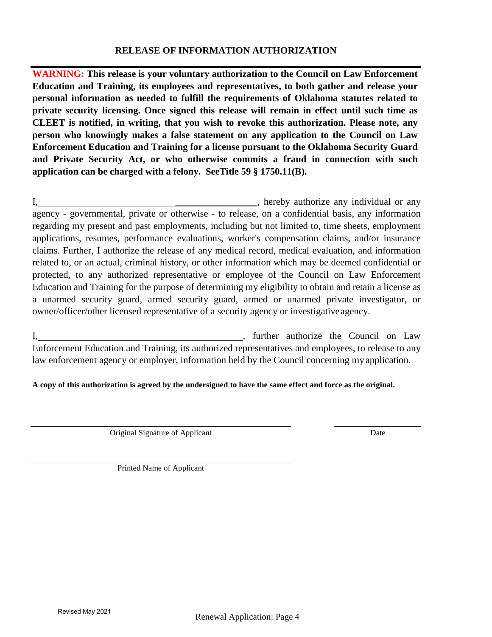### **RELEASE OF INFORMATION AUTHORIZATION**

**WARNING: This release is your voluntary authorization to the Council on Law Enforcement Education and Training, its employees and representatives, to both gather and release your personal information as needed to fulfill the requirements of Oklahoma statutes related to private security licensing. Once signed this release will remain in effect until such time as CLEET is notified, in writing, that you wish to revoke this authorization. Please note, any person who knowingly makes a false statement on any application to the Council on Law Enforcement Education and Training for a license pursuant to the Oklahoma Security Guard and Private Security Act, or who otherwise commits a fraud in connection with such application can be charged with a felony. SeeTitle 59 § 1750.11(B).**

I, hereby authorize any individual or any agency - governmental, private or otherwise - to release, on a confidential basis, any information regarding my present and past employments, including but not limited to, time sheets, employment applications, resumes, performance evaluations, worker's compensation claims, and/or insurance claims. Further, I authorize the release of any medical record, medical evaluation, and information related to, or an actual, criminal history, or other information which may be deemed confidential or protected, to any authorized representative or employee of the Council on Law Enforcement Education and Training for the purpose of determining my eligibility to obtain and retain a license as a unarmed security guard, armed security guard, armed or unarmed private investigator, or owner/officer/other licensed representative of a security agency or investigative agency.

I, turther authorize the Council on Law Enforcement Education and Training, its authorized representatives and employees, to release to any law enforcement agency or employer, information held by the Council concerning my application.

**A copy of this authorization is agreed by the undersigned to have the same effect and force as the original.**

Original Signature of Applicant Date

Printed Name of Applicant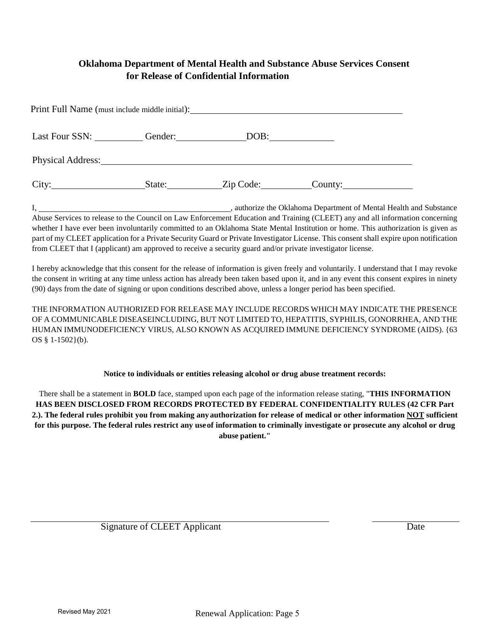### **Oklahoma Department of Mental Health and Substance Abuse Services Consent for Release of Confidential Information**

| Print Full Name (must include middle initial):                                                                                                                                                                                 |         |           |         |  |
|--------------------------------------------------------------------------------------------------------------------------------------------------------------------------------------------------------------------------------|---------|-----------|---------|--|
| Last Four SSN:                                                                                                                                                                                                                 | Gender: |           |         |  |
| Physical Address: No. 1996. The Second Second Second Second Second Second Second Second Second Second Second Second Second Second Second Second Second Second Second Second Second Second Second Second Second Second Second S |         |           |         |  |
| City:<br><u> 1990 - Jan Barbara III, politik po</u>                                                                                                                                                                            | State:  | Zip Code: | County: |  |

I, 1. **I** authorize the Oklahoma Department of Mental Health and Substance Abuse Services to release to the Council on Law Enforcement Education and Training (CLEET) any and all information concerning whether I have ever been involuntarily committed to an Oklahoma State Mental Institution or home. This authorization is given as part of my CLEET application for a Private Security Guard or Private Investigator License. This consent shall expire upon notification from CLEET that I (applicant) am approved to receive a security guard and/or private investigator license.

I hereby acknowledge that this consent for the release of information is given freely and voluntarily. I understand that I may revoke the consent in writing at any time unless action has already been taken based upon it, and in any event this consent expires in ninety (90) days from the date of signing or upon conditions described above, unless a longer period has been specified.

THE INFORMATION AUTHORIZED FOR RELEASE MAY INCLUDE RECORDS WHICH MAY INDICATE THE PRESENCE OF A COMMUNICABLE DISEASEINCLUDING, BUT NOT LIMITED TO, HEPATITIS, SYPHILIS, GONORRHEA, AND THE HUMAN IMMUNODEFICIENCY VIRUS, ALSO KNOWN AS ACQUIRED IMMUNE DEFICIENCY SYNDROME (AIDS). {63 OS § 1-1502}(b).

**Notice to individuals or entities releasing alcohol or drug abuse treatment records:**

There shall be a statement in **BOLD** face, stamped upon each page of the information release stating, "**THIS INFORMATION HAS BEEN DISCLOSED FROM RECORDS PROTECTED BY FEDERAL CONFIDENTIALITY RULES (42 CFR Part 2.). The federal rules prohibit you from making anyauthorization for release of medical or other information NOT sufficient for this purpose. The federal rules restrict any useof information to criminally investigate or prosecute any alcohol or drug abuse patient."**

Signature of CLEET Applicant Date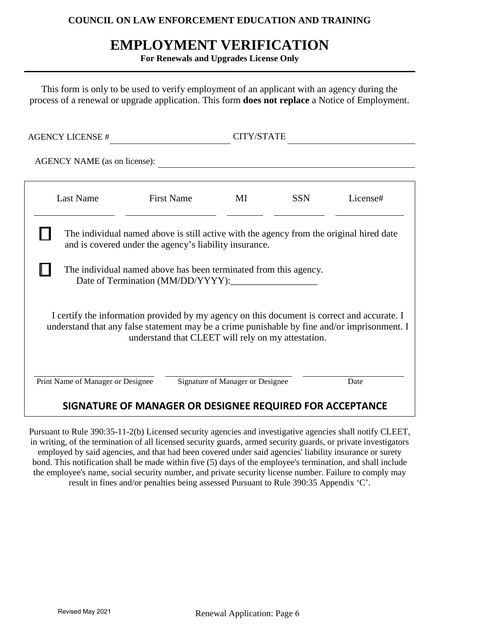### **COUNCIL ON LAW ENFORCEMENT EDUCATION AND TRAINING**

## **EMPLOYMENT VERIFICATION**

**For Renewals and Upgrades License Only**

This form is only to be used to verify employment of an applicant with an agency during the process of a renewal or upgrade application. This form **does not replace** a Notice of Employment.

| AGENCY NAME (as on license):                                                                                                                                                                                                                               |                                   |            |                                                                                                            |  |
|------------------------------------------------------------------------------------------------------------------------------------------------------------------------------------------------------------------------------------------------------------|-----------------------------------|------------|------------------------------------------------------------------------------------------------------------|--|
| <b>First Name</b>                                                                                                                                                                                                                                          | МI                                | <b>SSN</b> | License#                                                                                                   |  |
| The individual named above is still active with the agency from the original hired date<br>and is covered under the agency's liability insurance.<br>The individual named above has been terminated from this agency.<br>Date of Termination (MM/DD/YYYY): |                                   |            |                                                                                                            |  |
| I certify the information provided by my agency on this document is correct and accurate. I<br>understand that any false statement may be a crime punishable by fine and/or imprisonment. I<br>understand that CLEET will rely on my attestation.          |                                   |            |                                                                                                            |  |
|                                                                                                                                                                                                                                                            |                                   |            | Date                                                                                                       |  |
|                                                                                                                                                                                                                                                            | Print Name of Manager or Designee |            | CITY/STATE<br>Signature of Manager or Designee<br>SIGNATURE OF MANAGER OR DESIGNEE REQUIRED FOR ACCEPTANCE |  |

Pursuant to Rule 390:35-11-2(b) Licensed security agencies and investigative agencies shall notify CLEET, in writing, of the termination of all licensed security guards, armed security guards, or private investigators employed by said agencies, and that had been covered under said agencies' liability insurance or surety bond. This notification shall be made within five (5) days of the employee's termination, and shall include the employee's name, social security number, and private security license number. Failure to comply may result in fines and/or penalties being assessed Pursuant to Rule 390:35 Appendix 'C'.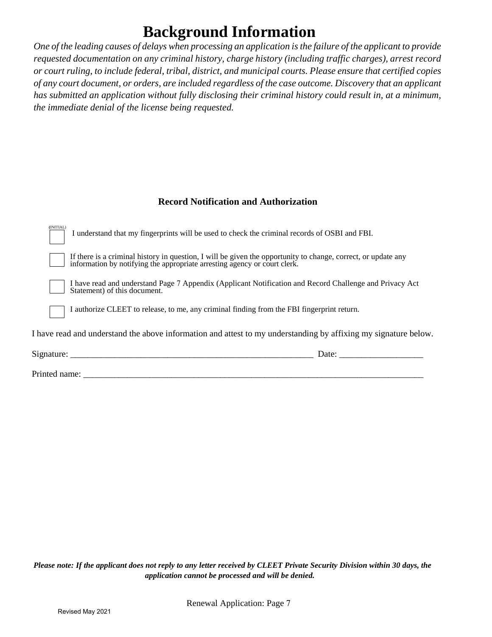# **Background Information**

*One of the leading causes of delays when processing an application is the failure of the applicant to provide requested documentation on any criminal history, charge history (including traffic charges), arrest record or court ruling, to include federal, tribal, district, and municipal courts. Please ensure that certified copies of any court document, or orders, are included regardless of the case outcome. Discovery that an applicant has submitted an application without fully disclosing their criminal history could result in, at a minimum, the immediate denial of the license being requested.* 

### **Record Notification and Authorization**

| (INITIAL)                                                                                                       | I understand that my fingerprints will be used to check the criminal records of OSBI and FBI.                                                                                           |  |  |
|-----------------------------------------------------------------------------------------------------------------|-----------------------------------------------------------------------------------------------------------------------------------------------------------------------------------------|--|--|
|                                                                                                                 | If there is a criminal history in question, I will be given the opportunity to change, correct, or update any information by notifying the appropriate arresting agency or court clerk. |  |  |
|                                                                                                                 | I have read and understand Page 7 Appendix (Applicant Notification and Record Challenge and Privacy Act<br>Statement) of this document.                                                 |  |  |
|                                                                                                                 | I authorize CLEET to release, to me, any criminal finding from the FBI fingerprint return.                                                                                              |  |  |
| I have read and understand the above information and attest to my understanding by affixing my signature below. |                                                                                                                                                                                         |  |  |
| Signature: ___                                                                                                  | Date:                                                                                                                                                                                   |  |  |
|                                                                                                                 |                                                                                                                                                                                         |  |  |

Printed name: \_\_\_\_\_\_\_\_\_\_\_\_\_\_\_\_\_\_\_\_\_\_\_\_\_\_\_\_\_\_\_\_\_\_\_\_\_\_\_\_\_\_\_\_\_\_\_\_\_\_\_\_\_\_\_\_\_\_\_\_\_\_\_\_\_\_\_\_\_\_\_\_\_\_\_\_\_

*Please note: If the applicant does not reply to any letter received by CLEET Private Security Division within 30 days, the application cannot be processed and will be denied.*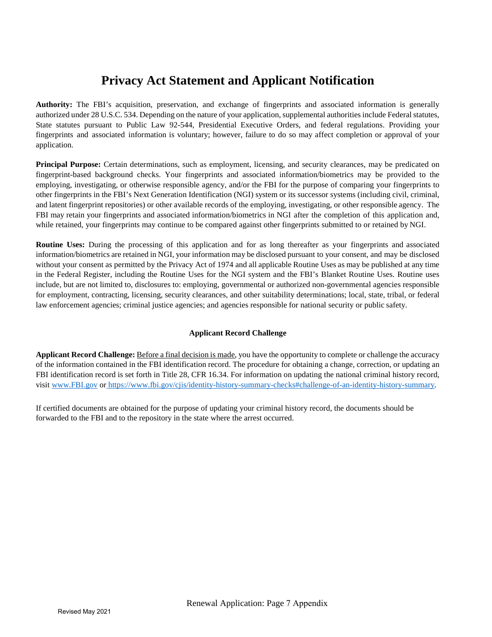# **Privacy Act Statement and Applicant Notification**

**Authority:** The FBI's acquisition, preservation, and exchange of fingerprints and associated information is generally authorized under 28 U.S.C. 534. Depending on the nature of your application, supplemental authorities include Federal statutes, State statutes pursuant to Public Law 92-544, Presidential Executive Orders, and federal regulations. Providing your fingerprints and associated information is voluntary; however, failure to do so may affect completion or approval of your application.

**Principal Purpose:** Certain determinations, such as employment, licensing, and security clearances, may be predicated on fingerprint-based background checks. Your fingerprints and associated information/biometrics may be provided to the employing, investigating, or otherwise responsible agency, and/or the FBI for the purpose of comparing your fingerprints to other fingerprints in the FBI's Next Generation Identification (NGI) system or its successor systems (including civil, criminal, and latent fingerprint repositories) or other available records of the employing, investigating, or other responsible agency. The FBI may retain your fingerprints and associated information/biometrics in NGI after the completion of this application and, while retained, your fingerprints may continue to be compared against other fingerprints submitted to or retained by NGI.

**Routine Uses:** During the processing of this application and for as long thereafter as your fingerprints and associated information/biometrics are retained in NGI, your information may be disclosed pursuant to your consent, and may be disclosed without your consent as permitted by the Privacy Act of 1974 and all applicable Routine Uses as may be published at any time in the Federal Register, including the Routine Uses for the NGI system and the FBI's Blanket Routine Uses. Routine uses include, but are not li[mited to, disclosures to: em](https://www.fbi.gov/cjis/identity-history-summary-checks#challenge-of-an-identity-history-summary)ploying, governmental or authorized non-governmental agencies responsible for employment, contracting, licensing, security clearances, and other suitability determinations; local, state, tribal, or federal law enforcement agencies; criminal justice agencies; and agencies responsible for national security or public safety.

#### **Applicant Record Challenge**

**Applicant Record Challenge:** Before a final decision is made, you have the opportunity to complete or challenge the accuracy of the information contained in the FBI identification record. The procedure for obtaining a change, correction, or updating an FBI identification record is set forth in Title 28, CFR 16.34. For information on updating the national criminal history record, visit [www.FBI.gov](http://www.fbi.gov/) or https:/[/www.fbi.gov/cjis/identity-history-summary-checks#challenge-of-an-identity-history-summary.](http://www.fbi.gov/cjis/identity-history-summary-checks#challenge-of-an-identity-history-summary)

If certified documents are obtained for the purpose of updating your criminal history record, the documents should be forwarded to the FBI and to the repository in the state where the arrest occurred.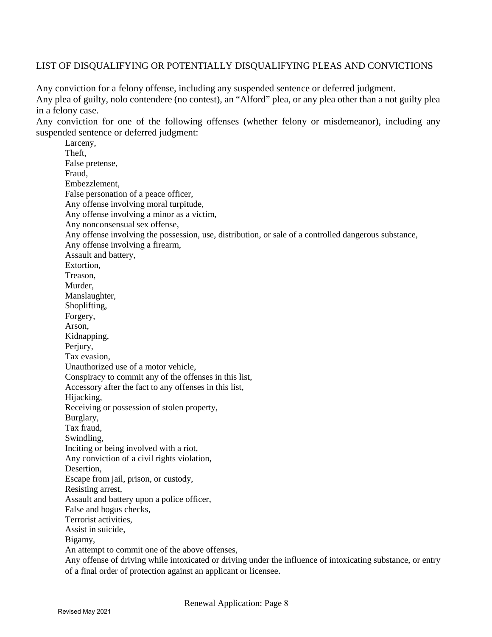### LIST OF DISQUALIFYING OR POTENTIALLY DISQUALIFYING PLEAS AND CONVICTIONS

Any conviction for a felony offense, including any suspended sentence or deferred judgment. Any plea of guilty, nolo contendere (no contest), an "Alford" plea, or any plea other than a not guilty plea in a felony case.

Any conviction for one of the following offenses (whether felony or misdemeanor), including any suspended sentence or deferred judgment:

Larceny, Theft, False pretense, Fraud, Embezzlement, False personation of a peace officer, Any offense involving moral turpitude, Any offense involving a minor as a victim, Any nonconsensual sex offense, Any offense involving the possession, use, distribution, or sale of a controlled dangerous substance, Any offense involving a firearm, Assault and battery, Extortion, Treason, Murder, Manslaughter, Shoplifting, Forgery, Arson, Kidnapping, Periury. Tax evasion, Unauthorized use of a motor vehicle, Conspiracy to commit any of the offenses in this list, Accessory after the fact to any offenses in this list, Hijacking, Receiving or possession of stolen property, Burglary, Tax fraud, Swindling, Inciting or being involved with a riot, Any conviction of a civil rights violation, Desertion, Escape from jail, prison, or custody, Resisting arrest, Assault and battery upon a police officer, False and bogus checks, Terrorist activities, Assist in suicide, Bigamy, An attempt to commit one of the above offenses, Any offense of driving while intoxicated or driving under the influence of intoxicating substance, or entry of a final order of protection against an applicant or licensee.